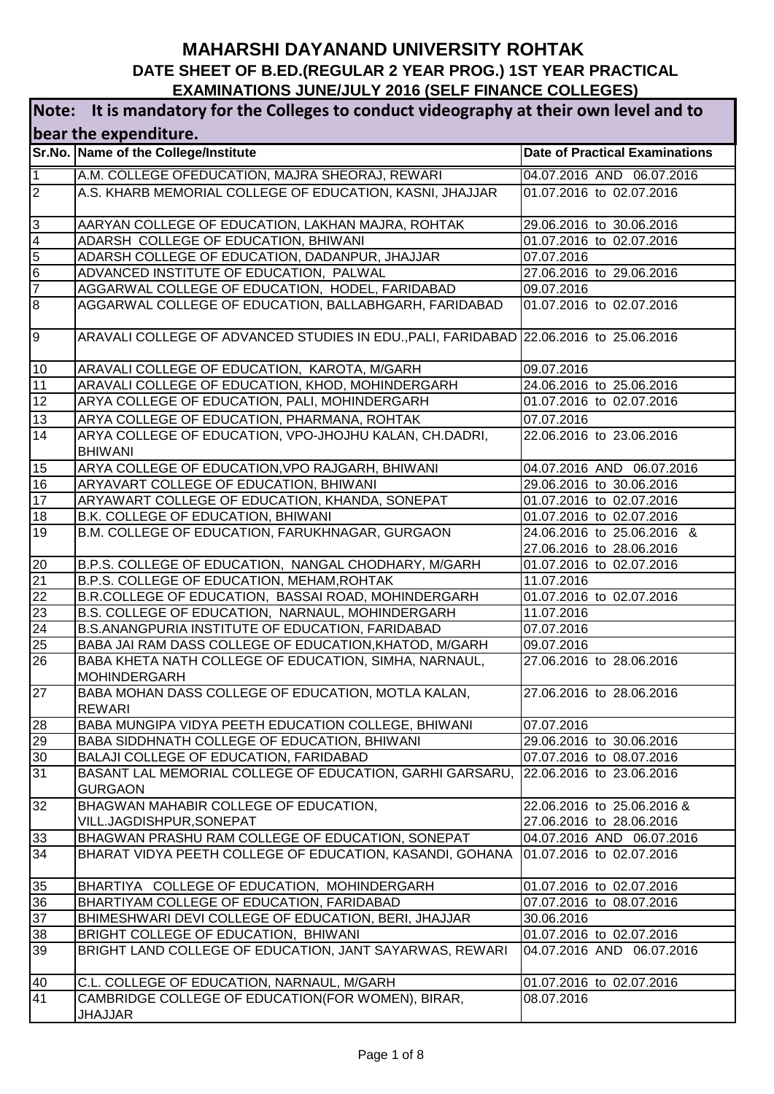| Note: It is mandatory for the Colleges to conduct videography at their own level and to |                                                                                                                 |                                        |  |
|-----------------------------------------------------------------------------------------|-----------------------------------------------------------------------------------------------------------------|----------------------------------------|--|
|                                                                                         | bear the expenditure.                                                                                           |                                        |  |
|                                                                                         | Sr.No. Name of the College/Institute                                                                            | <b>Date of Practical Examinations</b>  |  |
| $\overline{1}$                                                                          | A.M. COLLEGE OFEDUCATION, MAJRA SHEORAJ, REWARI                                                                 | 04.07.2016 AND 06.07.2016              |  |
| $ 2\rangle$                                                                             | A.S. KHARB MEMORIAL COLLEGE OF EDUCATION, KASNI, JHAJJAR                                                        | 01.07.2016 to 02.07.2016               |  |
| $\mathbf{3}$                                                                            | AARYAN COLLEGE OF EDUCATION, LAKHAN MAJRA, ROHTAK                                                               | 29.06.2016 to 30.06.2016               |  |
| $\overline{4}$                                                                          | ADARSH COLLEGE OF EDUCATION, BHIWANI                                                                            | 01.07.2016 to 02.07.2016               |  |
| $\overline{5}$                                                                          | ADARSH COLLEGE OF EDUCATION, DADANPUR, JHAJJAR                                                                  | 07.07.2016                             |  |
| $\overline{6}$                                                                          | ADVANCED INSTITUTE OF EDUCATION, PALWAL                                                                         | 27.06.2016 to 29.06.2016               |  |
| $\overline{7}$                                                                          | AGGARWAL COLLEGE OF EDUCATION, HODEL, FARIDABAD                                                                 | 09.07.2016                             |  |
| $\overline{8}$                                                                          | AGGARWAL COLLEGE OF EDUCATION, BALLABHGARH, FARIDABAD                                                           | 01.07.2016 to 02.07.2016               |  |
| l9                                                                                      | ARAVALI COLLEGE OF ADVANCED STUDIES IN EDU., PALI, FARIDABAD 22.06.2016 to 25.06.2016                           |                                        |  |
| 10                                                                                      | ARAVALI COLLEGE OF EDUCATION, KAROTA, M/GARH                                                                    | 09.07.2016                             |  |
| 11                                                                                      | ARAVALI COLLEGE OF EDUCATION, KHOD, MOHINDERGARH                                                                | 24.06.2016 to 25.06.2016               |  |
| 12                                                                                      | ARYA COLLEGE OF EDUCATION, PALI, MOHINDERGARH                                                                   | 01.07.2016 to 02.07.2016               |  |
| 13                                                                                      | ARYA COLLEGE OF EDUCATION, PHARMANA, ROHTAK                                                                     | 07.07.2016                             |  |
| 14                                                                                      | ARYA COLLEGE OF EDUCATION, VPO-JHOJHU KALAN, CH.DADRI,<br><b>BHIWANI</b>                                        | 22.06.2016 to 23.06.2016               |  |
| 15                                                                                      | ARYA COLLEGE OF EDUCATION, VPO RAJGARH, BHIWANI                                                                 | 04.07.2016 AND 06.07.2016              |  |
| 16                                                                                      | ARYAVART COLLEGE OF EDUCATION, BHIWANI                                                                          | 29.06.2016 to 30.06.2016               |  |
| 17                                                                                      | ARYAWART COLLEGE OF EDUCATION, KHANDA, SONEPAT                                                                  | 01.07.2016 to 02.07.2016               |  |
| 18                                                                                      | B.K. COLLEGE OF EDUCATION, BHIWANI                                                                              | 01.07.2016 to 02.07.2016               |  |
| 19                                                                                      | B.M. COLLEGE OF EDUCATION, FARUKHNAGAR, GURGAON                                                                 | 24.06.2016 to 25.06.2016 &             |  |
|                                                                                         |                                                                                                                 | 27.06.2016 to 28.06.2016               |  |
| 20                                                                                      | B.P.S. COLLEGE OF EDUCATION, NANGAL CHODHARY, M/GARH                                                            | 01.07.2016 to 02.07.2016               |  |
| 21                                                                                      | B.P.S. COLLEGE OF EDUCATION, MEHAM, ROHTAK                                                                      | 11.07.2016                             |  |
| 22                                                                                      | B.R.COLLEGE OF EDUCATION, BASSAI ROAD, MOHINDERGARH                                                             | 01.07.2016 to 02.07.2016               |  |
| 23                                                                                      | B.S. COLLEGE OF EDUCATION, NARNAUL, MOHINDERGARH                                                                | 11.07.2016                             |  |
| 24<br>$\overline{25}$                                                                   | B.S.ANANGPURIA INSTITUTE OF EDUCATION, FARIDABAD                                                                | 07.07.2016                             |  |
| 26                                                                                      | BABA JAI RAM DASS COLLEGE OF EDUCATION, KHATOD, M/GARH<br>BABA KHETA NATH COLLEGE OF EDUCATION, SIMHA, NARNAUL, | 09.07.2016<br>27.06.2016 to 28.06.2016 |  |
|                                                                                         | <b>MOHINDERGARH</b>                                                                                             |                                        |  |
| 27                                                                                      | BABA MOHAN DASS COLLEGE OF EDUCATION, MOTLA KALAN,<br><b>REWARI</b>                                             | 27.06.2016 to 28.06.2016               |  |
| 28                                                                                      | BABA MUNGIPA VIDYA PEETH EDUCATION COLLEGE, BHIWANI                                                             | 07.07.2016                             |  |
| 29                                                                                      | BABA SIDDHNATH COLLEGE OF EDUCATION, BHIWANI                                                                    | 29.06.2016 to 30.06.2016               |  |
| 30                                                                                      | BALAJI COLLEGE OF EDUCATION, FARIDABAD                                                                          | 07.07.2016 to 08.07.2016               |  |
| $\overline{31}$                                                                         | BASANT LAL MEMORIAL COLLEGE OF EDUCATION, GARHI GARSARU, 22.06.2016 to 23.06.2016<br><b>GURGAON</b>             |                                        |  |
| 32                                                                                      | BHAGWAN MAHABIR COLLEGE OF EDUCATION,                                                                           | 22.06.2016 to 25.06.2016 &             |  |
|                                                                                         | VILL.JAGDISHPUR, SONEPAT                                                                                        | 27.06.2016 to 28.06.2016               |  |
| 33                                                                                      | BHAGWAN PRASHU RAM COLLEGE OF EDUCATION, SONEPAT                                                                | 04.07.2016 AND 06.07.2016              |  |
| 34                                                                                      | BHARAT VIDYA PEETH COLLEGE OF EDUCATION, KASANDI, GOHANA                                                        | 01.07.2016 to 02.07.2016               |  |
| 35                                                                                      | BHARTIYA COLLEGE OF EDUCATION, MOHINDERGARH                                                                     | 01.07.2016 to 02.07.2016               |  |
| 36                                                                                      | BHARTIYAM COLLEGE OF EDUCATION, FARIDABAD                                                                       | 07.07.2016 to 08.07.2016               |  |
| 37                                                                                      | BHIMESHWARI DEVI COLLEGE OF EDUCATION, BERI, JHAJJAR                                                            | 30.06.2016                             |  |
| 38                                                                                      | BRIGHT COLLEGE OF EDUCATION, BHIWANI                                                                            | 01.07.2016 to 02.07.2016               |  |
| 39                                                                                      | BRIGHT LAND COLLEGE OF EDUCATION, JANT SAYARWAS, REWARI                                                         | 04.07.2016 AND 06.07.2016              |  |
| 40                                                                                      | C.L. COLLEGE OF EDUCATION, NARNAUL, M/GARH                                                                      | 01.07.2016 to 02.07.2016               |  |
| 41                                                                                      | CAMBRIDGE COLLEGE OF EDUCATION(FOR WOMEN), BIRAR,<br><b>JHAJJAR</b>                                             | 08.07.2016                             |  |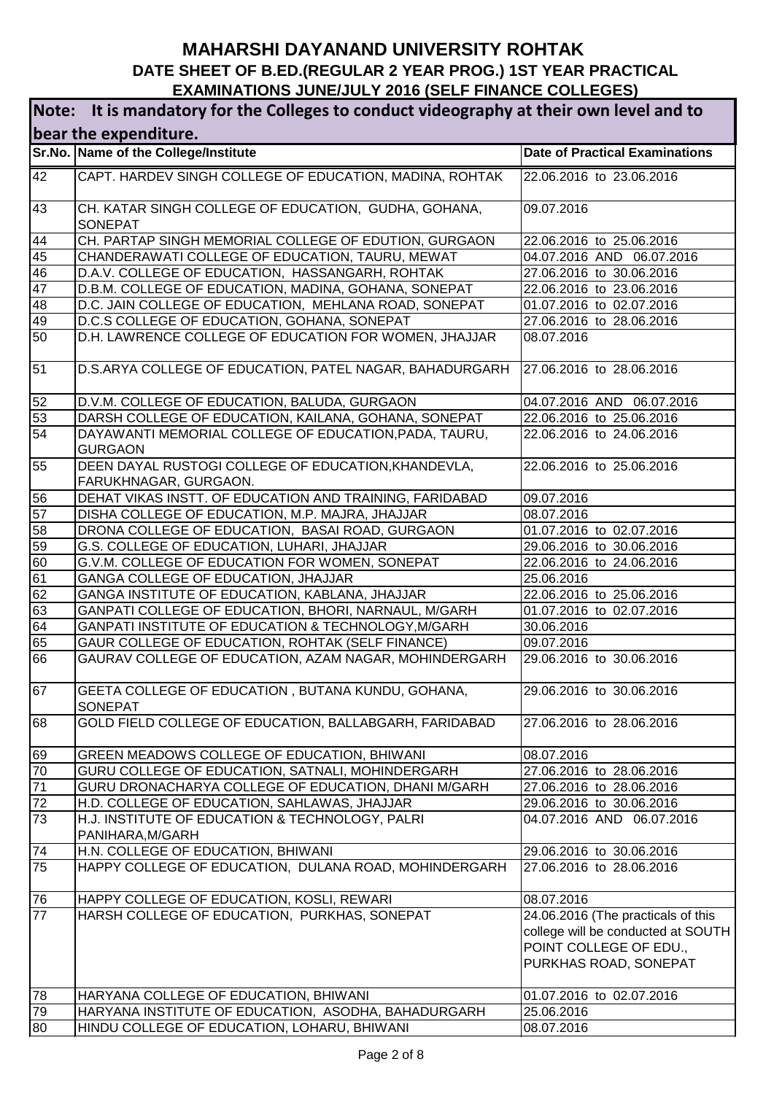| Note: It is mandatory for the Colleges to conduct videography at their own level and to |                                                                              |                                                                                                                             |  |
|-----------------------------------------------------------------------------------------|------------------------------------------------------------------------------|-----------------------------------------------------------------------------------------------------------------------------|--|
| bear the expenditure.                                                                   |                                                                              |                                                                                                                             |  |
|                                                                                         | Sr.No. Name of the College/Institute                                         | <b>Date of Practical Examinations</b>                                                                                       |  |
| 42                                                                                      | CAPT. HARDEV SINGH COLLEGE OF EDUCATION, MADINA, ROHTAK                      | 22.06.2016 to 23.06.2016                                                                                                    |  |
| 43                                                                                      | CH. KATAR SINGH COLLEGE OF EDUCATION, GUDHA, GOHANA,<br><b>SONEPAT</b>       | 09.07.2016                                                                                                                  |  |
| 44                                                                                      | CH. PARTAP SINGH MEMORIAL COLLEGE OF EDUTION, GURGAON                        | 22.06.2016 to 25.06.2016                                                                                                    |  |
| 45                                                                                      | CHANDERAWATI COLLEGE OF EDUCATION, TAURU, MEWAT                              | 04.07.2016 AND 06.07.2016                                                                                                   |  |
| 46                                                                                      | D.A.V. COLLEGE OF EDUCATION, HASSANGARH, ROHTAK                              | 27.06.2016 to 30.06.2016                                                                                                    |  |
| 47                                                                                      | D.B.M. COLLEGE OF EDUCATION, MADINA, GOHANA, SONEPAT                         | 22.06.2016 to 23.06.2016                                                                                                    |  |
| 48                                                                                      | D.C. JAIN COLLEGE OF EDUCATION, MEHLANA ROAD, SONEPAT                        | 01.07.2016 to 02.07.2016                                                                                                    |  |
| 49                                                                                      | D.C.S COLLEGE OF EDUCATION, GOHANA, SONEPAT                                  | 27.06.2016 to 28.06.2016                                                                                                    |  |
| 50                                                                                      | D.H. LAWRENCE COLLEGE OF EDUCATION FOR WOMEN, JHAJJAR                        | 08.07.2016                                                                                                                  |  |
| 51                                                                                      | D.S.ARYA COLLEGE OF EDUCATION, PATEL NAGAR, BAHADURGARH                      | 27.06.2016 to 28.06.2016                                                                                                    |  |
| 52                                                                                      | D.V.M. COLLEGE OF EDUCATION, BALUDA, GURGAON                                 | 04.07.2016 AND 06.07.2016                                                                                                   |  |
| 53                                                                                      | DARSH COLLEGE OF EDUCATION, KAILANA, GOHANA, SONEPAT                         | 22.06.2016 to 25.06.2016                                                                                                    |  |
| 54                                                                                      | DAYAWANTI MEMORIAL COLLEGE OF EDUCATION, PADA, TAURU,<br><b>GURGAON</b>      | 22.06.2016 to 24.06.2016                                                                                                    |  |
| 55                                                                                      | DEEN DAYAL RUSTOGI COLLEGE OF EDUCATION, KHANDEVLA,<br>FARUKHNAGAR, GURGAON. | 22.06.2016 to 25.06.2016                                                                                                    |  |
| 56                                                                                      | DEHAT VIKAS INSTT. OF EDUCATION AND TRAINING, FARIDABAD                      | 09.07.2016                                                                                                                  |  |
| 57                                                                                      | DISHA COLLEGE OF EDUCATION, M.P. MAJRA, JHAJJAR                              | 08.07.2016                                                                                                                  |  |
| 58                                                                                      | DRONA COLLEGE OF EDUCATION, BASAI ROAD, GURGAON                              | 01.07.2016 to 02.07.2016                                                                                                    |  |
| 59                                                                                      | G.S. COLLEGE OF EDUCATION, LUHARI, JHAJJAR                                   | 29.06.2016 to 30.06.2016                                                                                                    |  |
| 60                                                                                      | G.V.M. COLLEGE OF EDUCATION FOR WOMEN, SONEPAT                               | 22.06.2016 to 24.06.2016                                                                                                    |  |
| 61                                                                                      | GANGA COLLEGE OF EDUCATION, JHAJJAR                                          | 25.06.2016                                                                                                                  |  |
| 62                                                                                      | GANGA INSTITUTE OF EDUCATION, KABLANA, JHAJJAR                               | 22.06.2016 to 25.06.2016                                                                                                    |  |
| 63                                                                                      | GANPATI COLLEGE OF EDUCATION, BHORI, NARNAUL, M/GARH                         | 01.07.2016 to 02.07.2016                                                                                                    |  |
| 64                                                                                      | GANPATI INSTITUTE OF EDUCATION & TECHNOLOGY, M/GARH                          | 30.06.2016                                                                                                                  |  |
| 65                                                                                      | GAUR COLLEGE OF EDUCATION, ROHTAK (SELF FINANCE)                             | 09.07.2016                                                                                                                  |  |
| 66                                                                                      | GAURAV COLLEGE OF EDUCATION, AZAM NAGAR, MOHINDERGARH                        | 29.06.2016 to 30.06.2016                                                                                                    |  |
| 67                                                                                      | GEETA COLLEGE OF EDUCATION, BUTANA KUNDU, GOHANA,<br>SONEPAT                 | 29.06.2016 to 30.06.2016                                                                                                    |  |
| 68                                                                                      | GOLD FIELD COLLEGE OF EDUCATION, BALLABGARH, FARIDABAD                       | 27.06.2016 to 28.06.2016                                                                                                    |  |
| 69                                                                                      | GREEN MEADOWS COLLEGE OF EDUCATION, BHIWANI                                  | 08.07.2016                                                                                                                  |  |
| 70                                                                                      | GURU COLLEGE OF EDUCATION, SATNALI, MOHINDERGARH                             | 27.06.2016 to 28.06.2016                                                                                                    |  |
| 71                                                                                      | GURU DRONACHARYA COLLEGE OF EDUCATION, DHANI M/GARH                          | 27.06.2016 to 28.06.2016                                                                                                    |  |
| 72                                                                                      | H.D. COLLEGE OF EDUCATION, SAHLAWAS, JHAJJAR                                 | 29.06.2016 to 30.06.2016                                                                                                    |  |
| 73                                                                                      | H.J. INSTITUTE OF EDUCATION & TECHNOLOGY, PALRI<br>PANIHARA, M/GARH          | 04.07.2016 AND 06.07.2016                                                                                                   |  |
| 74                                                                                      | H.N. COLLEGE OF EDUCATION, BHIWANI                                           | 29.06.2016 to 30.06.2016                                                                                                    |  |
| 75                                                                                      | HAPPY COLLEGE OF EDUCATION, DULANA ROAD, MOHINDERGARH                        | 27.06.2016 to 28.06.2016                                                                                                    |  |
| 76                                                                                      | HAPPY COLLEGE OF EDUCATION, KOSLI, REWARI                                    | 08.07.2016                                                                                                                  |  |
| $\overline{77}$                                                                         | HARSH COLLEGE OF EDUCATION, PURKHAS, SONEPAT                                 | 24.06.2016 (The practicals of this<br>college will be conducted at SOUTH<br>POINT COLLEGE OF EDU.,<br>PURKHAS ROAD, SONEPAT |  |
|                                                                                         | HARYANA COLLEGE OF EDUCATION, BHIWANI                                        | 01.07.2016 to 02.07.2016                                                                                                    |  |
| 78<br>79                                                                                | HARYANA INSTITUTE OF EDUCATION, ASODHA, BAHADURGARH                          | 25.06.2016                                                                                                                  |  |
| 80                                                                                      | HINDU COLLEGE OF EDUCATION, LOHARU, BHIWANI                                  | 08.07.2016                                                                                                                  |  |
|                                                                                         |                                                                              |                                                                                                                             |  |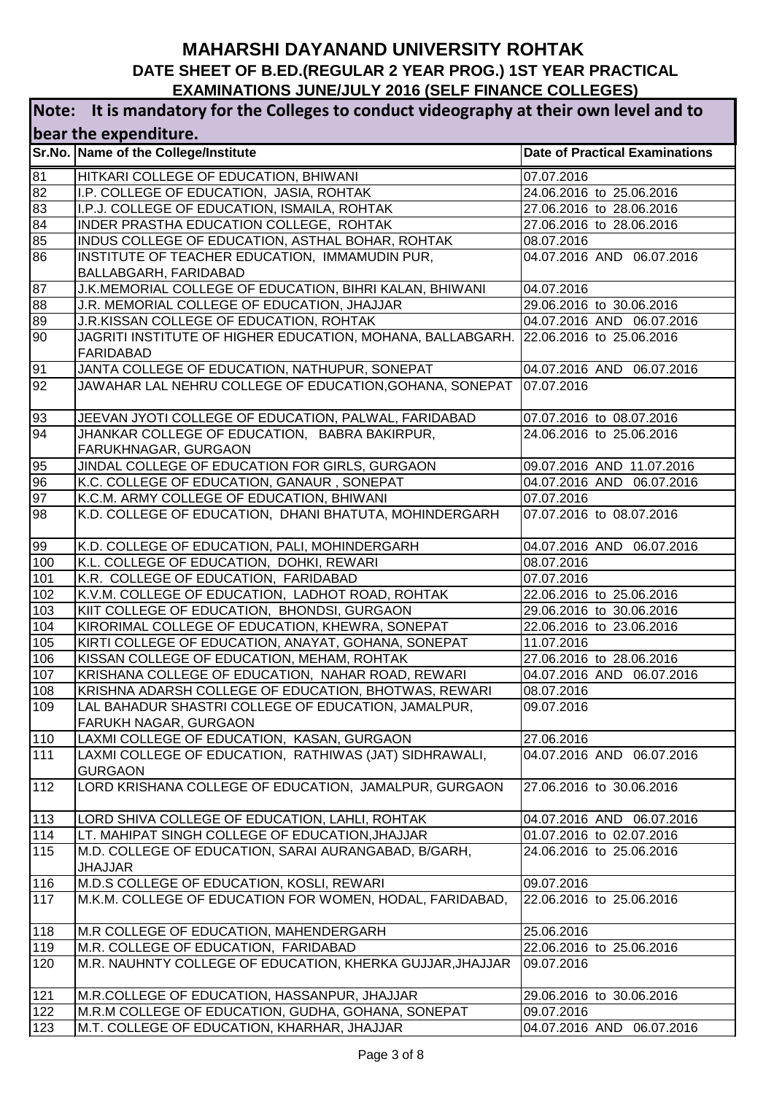| Note: It is mandatory for the Colleges to conduct videography at their own level and to |                                                                                                         |                                       |  |
|-----------------------------------------------------------------------------------------|---------------------------------------------------------------------------------------------------------|---------------------------------------|--|
| bear the expenditure.                                                                   |                                                                                                         |                                       |  |
|                                                                                         | Sr.No. Name of the College/Institute                                                                    | <b>Date of Practical Examinations</b> |  |
| 81                                                                                      | HITKARI COLLEGE OF EDUCATION, BHIWANI                                                                   | 07.07.2016                            |  |
| 82                                                                                      | I.P. COLLEGE OF EDUCATION, JASIA, ROHTAK                                                                | 24.06.2016 to 25.06.2016              |  |
| 83                                                                                      | I.P.J. COLLEGE OF EDUCATION, ISMAILA, ROHTAK                                                            | 27.06.2016 to 28.06.2016              |  |
| 84                                                                                      | INDER PRASTHA EDUCATION COLLEGE, ROHTAK                                                                 | 27.06.2016 to 28.06.2016              |  |
| 85                                                                                      | INDUS COLLEGE OF EDUCATION, ASTHAL BOHAR, ROHTAK                                                        | 08.07.2016                            |  |
| 86                                                                                      | INSTITUTE OF TEACHER EDUCATION, IMMAMUDIN PUR,                                                          | 04.07.2016 AND 06.07.2016             |  |
|                                                                                         | BALLABGARH, FARIDABAD                                                                                   |                                       |  |
| 87                                                                                      | J.K.MEMORIAL COLLEGE OF EDUCATION, BIHRI KALAN, BHIWANI                                                 | 04.07.2016                            |  |
| $\overline{88}$                                                                         | J.R. MEMORIAL COLLEGE OF EDUCATION, JHAJJAR                                                             | 29.06.2016 to 30.06.2016              |  |
| 89                                                                                      | J.R.KISSAN COLLEGE OF EDUCATION, ROHTAK                                                                 | 04.07.2016 AND 06.07.2016             |  |
| 90                                                                                      | JAGRITI INSTITUTE OF HIGHER EDUCATION, MOHANA, BALLABGARH. 22.06.2016 to 25.06.2016<br><b>FARIDABAD</b> |                                       |  |
| 91                                                                                      | JANTA COLLEGE OF EDUCATION, NATHUPUR, SONEPAT                                                           | 04.07.2016 AND 06.07.2016             |  |
| 92                                                                                      | JAWAHAR LAL NEHRU COLLEGE OF EDUCATION, GOHANA, SONEPAT                                                 | 07.07.2016                            |  |
|                                                                                         |                                                                                                         |                                       |  |
| 93                                                                                      | JEEVAN JYOTI COLLEGE OF EDUCATION, PALWAL, FARIDABAD                                                    | 07.07.2016 to 08.07.2016              |  |
| 94                                                                                      | JHANKAR COLLEGE OF EDUCATION, BABRA BAKIRPUR,<br>FARUKHNAGAR, GURGAON                                   | 24.06.2016 to 25.06.2016              |  |
| 95                                                                                      | JINDAL COLLEGE OF EDUCATION FOR GIRLS, GURGAON                                                          | 09.07.2016 AND 11.07.2016             |  |
| 96                                                                                      | K.C. COLLEGE OF EDUCATION, GANAUR, SONEPAT                                                              | 04.07.2016 AND 06.07.2016             |  |
| 97                                                                                      | K.C.M. ARMY COLLEGE OF EDUCATION, BHIWANI                                                               | 07.07.2016                            |  |
| 98                                                                                      | K.D. COLLEGE OF EDUCATION, DHANI BHATUTA, MOHINDERGARH                                                  | 07.07.2016 to 08.07.2016              |  |
| 99                                                                                      | K.D. COLLEGE OF EDUCATION, PALI, MOHINDERGARH                                                           | 04.07.2016 AND 06.07.2016             |  |
| 100                                                                                     | K.L. COLLEGE OF EDUCATION, DOHKI, REWARI                                                                | 08.07.2016                            |  |
| 101                                                                                     | K.R. COLLEGE OF EDUCATION, FARIDABAD                                                                    | 07.07.2016                            |  |
| $10\overline{2}$                                                                        | K.V.M. COLLEGE OF EDUCATION, LADHOT ROAD, ROHTAK                                                        | 22.06.2016 to 25.06.2016              |  |
| 103                                                                                     | KIIT COLLEGE OF EDUCATION, BHONDSI, GURGAON                                                             | 29.06.2016 to 30.06.2016              |  |
| 104                                                                                     | KIRORIMAL COLLEGE OF EDUCATION, KHEWRA, SONEPAT                                                         | 22.06.2016 to 23.06.2016              |  |
| 105                                                                                     | KIRTI COLLEGE OF EDUCATION, ANAYAT, GOHANA, SONEPAT                                                     | 11.07.2016                            |  |
| 106                                                                                     | KISSAN COLLEGE OF EDUCATION, MEHAM, ROHTAK                                                              | 27.06.2016 to 28.06.2016              |  |
| 107                                                                                     | KRISHANA COLLEGE OF EDUCATION, NAHAR ROAD, REWARI                                                       | 04.07.2016 AND 06.07.2016             |  |
| 108                                                                                     | KRISHNA ADARSH COLLEGE OF EDUCATION, BHOTWAS, REWARI                                                    | 08.07.2016                            |  |
| 109                                                                                     | LAL BAHADUR SHASTRI COLLEGE OF EDUCATION, JAMALPUR,                                                     | 09.07.2016                            |  |
|                                                                                         | FARUKH NAGAR, GURGAON                                                                                   |                                       |  |
| 110                                                                                     | LAXMI COLLEGE OF EDUCATION, KASAN, GURGAON                                                              | 27.06.2016                            |  |
| 111                                                                                     | LAXMI COLLEGE OF EDUCATION, RATHIWAS (JAT) SIDHRAWALI,<br><b>GURGAON</b>                                | 04.07.2016 AND 06.07.2016             |  |
| 112                                                                                     | LORD KRISHANA COLLEGE OF EDUCATION, JAMALPUR, GURGAON                                                   | 27.06.2016 to 30.06.2016              |  |
| 113                                                                                     | LORD SHIVA COLLEGE OF EDUCATION, LAHLI, ROHTAK                                                          | 04.07.2016 AND 06.07.2016             |  |
| 114                                                                                     | LT. MAHIPAT SINGH COLLEGE OF EDUCATION, JHAJJAR                                                         | 01.07.2016 to 02.07.2016              |  |
| 115                                                                                     | M.D. COLLEGE OF EDUCATION, SARAI AURANGABAD, B/GARH,                                                    | 24.06.2016 to 25.06.2016              |  |
|                                                                                         | <b>JHAJJAR</b>                                                                                          |                                       |  |
| 116                                                                                     | M.D.S COLLEGE OF EDUCATION, KOSLI, REWARI                                                               | 09.07.2016                            |  |
| 117                                                                                     | M.K.M. COLLEGE OF EDUCATION FOR WOMEN, HODAL, FARIDABAD,                                                | 22.06.2016 to 25.06.2016              |  |
| 118                                                                                     | M.R COLLEGE OF EDUCATION, MAHENDERGARH                                                                  | 25.06.2016                            |  |
| 119                                                                                     | M.R. COLLEGE OF EDUCATION, FARIDABAD                                                                    | 22.06.2016 to 25.06.2016              |  |
| 120                                                                                     | M.R. NAUHNTY COLLEGE OF EDUCATION, KHERKA GUJJAR, JHAJJAR                                               | 09.07.2016                            |  |
| 121                                                                                     | M.R.COLLEGE OF EDUCATION, HASSANPUR, JHAJJAR                                                            | 29.06.2016 to 30.06.2016              |  |
| 122                                                                                     | M.R.M COLLEGE OF EDUCATION, GUDHA, GOHANA, SONEPAT                                                      | 09.07.2016                            |  |
| 123                                                                                     | M.T. COLLEGE OF EDUCATION, KHARHAR, JHAJJAR                                                             | 04.07.2016 AND 06.07.2016             |  |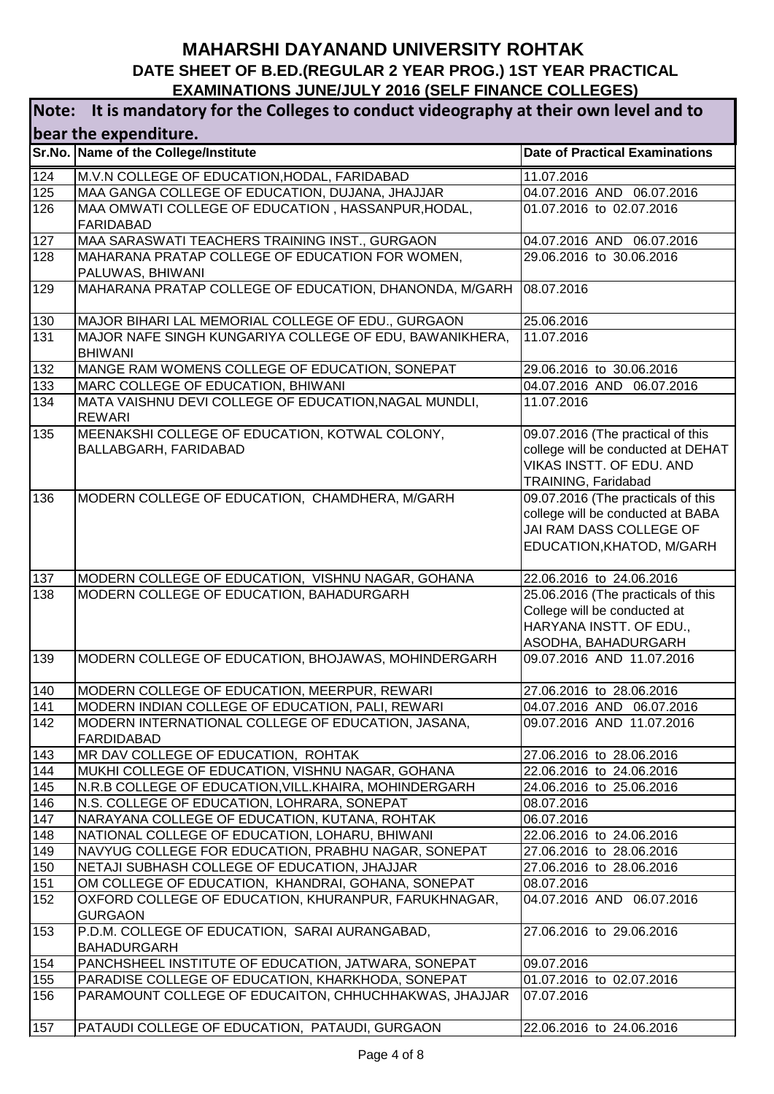a a

| Note: It is mandatory for the Colleges to conduct videography at their own level and to |                                                                           |                                                      |  |
|-----------------------------------------------------------------------------------------|---------------------------------------------------------------------------|------------------------------------------------------|--|
| bear the expenditure.                                                                   |                                                                           |                                                      |  |
|                                                                                         | Sr.No. Name of the College/Institute                                      | <b>Date of Practical Examinations</b>                |  |
| 124                                                                                     | M.V.N COLLEGE OF EDUCATION, HODAL, FARIDABAD                              | 11.07.2016                                           |  |
| 125                                                                                     | MAA GANGA COLLEGE OF EDUCATION, DUJANA, JHAJJAR                           | 04.07.2016 AND 06.07.2016                            |  |
| 126                                                                                     | MAA OMWATI COLLEGE OF EDUCATION, HASSANPUR, HODAL,<br><b>FARIDABAD</b>    | 01.07.2016 to 02.07.2016                             |  |
| 127                                                                                     | MAA SARASWATI TEACHERS TRAINING INST., GURGAON                            | 04.07.2016 AND 06.07.2016                            |  |
| 128                                                                                     | MAHARANA PRATAP COLLEGE OF EDUCATION FOR WOMEN,<br>PALUWAS, BHIWANI       | 29.06.2016 to 30.06.2016                             |  |
| 129                                                                                     | MAHARANA PRATAP COLLEGE OF EDUCATION, DHANONDA, M/GARH                    | 08.07.2016                                           |  |
| 130                                                                                     | MAJOR BIHARI LAL MEMORIAL COLLEGE OF EDU., GURGAON                        | 25.06.2016                                           |  |
| 131                                                                                     | MAJOR NAFE SINGH KUNGARIYA COLLEGE OF EDU, BAWANIKHERA,<br><b>BHIWANI</b> | 11.07.2016                                           |  |
| 132                                                                                     | MANGE RAM WOMENS COLLEGE OF EDUCATION, SONEPAT                            | 29.06.2016 to 30.06.2016                             |  |
| 133                                                                                     | MARC COLLEGE OF EDUCATION, BHIWANI                                        | 04.07.2016 AND<br>06.07.2016                         |  |
| 134                                                                                     | MATA VAISHNU DEVI COLLEGE OF EDUCATION, NAGAL MUNDLI,<br><b>REWARI</b>    | 11.07.2016                                           |  |
| 135                                                                                     | MEENAKSHI COLLEGE OF EDUCATION, KOTWAL COLONY,                            | 09.07.2016 (The practical of this                    |  |
|                                                                                         | BALLABGARH, FARIDABAD                                                     | college will be conducted at DEHAT                   |  |
|                                                                                         |                                                                           | VIKAS INSTT. OF EDU. AND                             |  |
|                                                                                         |                                                                           | TRAINING, Faridabad                                  |  |
| 136                                                                                     | MODERN COLLEGE OF EDUCATION, CHAMDHERA, M/GARH                            | 09.07.2016 (The practicals of this                   |  |
|                                                                                         |                                                                           | college will be conducted at BABA                    |  |
|                                                                                         |                                                                           | JAI RAM DASS COLLEGE OF<br>EDUCATION, KHATOD, M/GARH |  |
|                                                                                         |                                                                           |                                                      |  |
| 137                                                                                     | MODERN COLLEGE OF EDUCATION, VISHNU NAGAR, GOHANA                         | 22.06.2016 to 24.06.2016                             |  |
| 138                                                                                     | MODERN COLLEGE OF EDUCATION, BAHADURGARH                                  | 25.06.2016 (The practicals of this                   |  |
|                                                                                         |                                                                           | College will be conducted at                         |  |
|                                                                                         |                                                                           | HARYANA INSTT. OF EDU.,                              |  |
|                                                                                         |                                                                           | ASODHA, BAHADURGARH                                  |  |
| 139                                                                                     | MODERN COLLEGE OF EDUCATION, BHOJAWAS, MOHINDERGARH                       | 09.07.2016 AND 11.07.2016                            |  |
| 140                                                                                     | MODERN COLLEGE OF EDUCATION, MEERPUR, REWARI                              | 27.06.2016 to 28.06.2016                             |  |
| 141                                                                                     | MODERN INDIAN COLLEGE OF EDUCATION, PALI, REWARI                          | 04.07.2016 AND 06.07.2016                            |  |
| 142                                                                                     | MODERN INTERNATIONAL COLLEGE OF EDUCATION, JASANA,<br><b>FARDIDABAD</b>   | 09.07.2016 AND 11.07.2016                            |  |
| 143                                                                                     | MR DAV COLLEGE OF EDUCATION, ROHTAK                                       | 27.06.2016 to 28.06.2016                             |  |
| 144                                                                                     | MUKHI COLLEGE OF EDUCATION, VISHNU NAGAR, GOHANA                          | 22.06.2016 to 24.06.2016                             |  |
| 145                                                                                     | N.R.B COLLEGE OF EDUCATION,VILL.KHAIRA, MOHINDERGARH                      | 24.06.2016 to 25.06.2016                             |  |
| 146                                                                                     | N.S. COLLEGE OF EDUCATION, LOHRARA, SONEPAT                               | 08.07.2016                                           |  |
| 147                                                                                     | NARAYANA COLLEGE OF EDUCATION, KUTANA, ROHTAK                             | 06.07.2016                                           |  |
| 148                                                                                     | NATIONAL COLLEGE OF EDUCATION, LOHARU, BHIWANI                            | 22.06.2016 to 24.06.2016                             |  |
| 149                                                                                     | NAVYUG COLLEGE FOR EDUCATION, PRABHU NAGAR, SONEPAT                       | 27.06.2016 to 28.06.2016                             |  |
| 150                                                                                     | NETAJI SUBHASH COLLEGE OF EDUCATION, JHAJJAR                              | 27.06.2016 to 28.06.2016                             |  |
| 151                                                                                     | OM COLLEGE OF EDUCATION, KHANDRAI, GOHANA, SONEPAT                        | 08.07.2016                                           |  |
| 152                                                                                     | OXFORD COLLEGE OF EDUCATION, KHURANPUR, FARUKHNAGAR,<br><b>GURGAON</b>    | 04.07.2016 AND 06.07.2016                            |  |
| 153                                                                                     | P.D.M. COLLEGE OF EDUCATION, SARAI AURANGABAD,<br><b>BAHADURGARH</b>      | 27.06.2016 to 29.06.2016                             |  |
| 154                                                                                     | PANCHSHEEL INSTITUTE OF EDUCATION, JATWARA, SONEPAT                       | 09.07.2016                                           |  |
| 155                                                                                     | PARADISE COLLEGE OF EDUCATION, KHARKHODA, SONEPAT                         | 01.07.2016 to 02.07.2016                             |  |
| 156                                                                                     | PARAMOUNT COLLEGE OF EDUCAITON, CHHUCHHAKWAS, JHAJJAR                     | 07.07.2016                                           |  |
| 157                                                                                     | PATAUDI COLLEGE OF EDUCATION, PATAUDI, GURGAON                            | 22.06.2016 to 24.06.2016                             |  |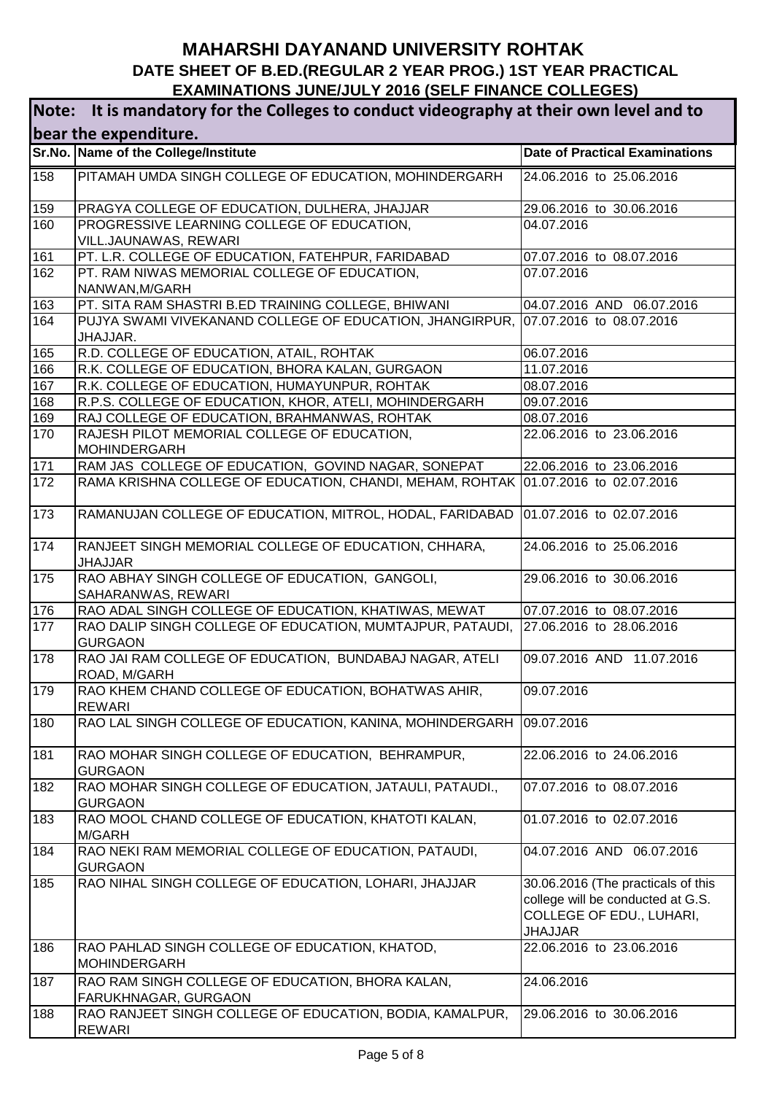| Note: It is mandatory for the Colleges to conduct videography at their own level and to |                                                                                               |                                                                                                                       |  |
|-----------------------------------------------------------------------------------------|-----------------------------------------------------------------------------------------------|-----------------------------------------------------------------------------------------------------------------------|--|
| bear the expenditure.                                                                   |                                                                                               |                                                                                                                       |  |
|                                                                                         | Sr.No. Name of the College/Institute                                                          | <b>Date of Practical Examinations</b>                                                                                 |  |
| 158                                                                                     | PITAMAH UMDA SINGH COLLEGE OF EDUCATION, MOHINDERGARH                                         | 24.06.2016 to 25.06.2016                                                                                              |  |
| 159                                                                                     | PRAGYA COLLEGE OF EDUCATION, DULHERA, JHAJJAR                                                 | 29.06.2016 to 30.06.2016                                                                                              |  |
| 160                                                                                     | PROGRESSIVE LEARNING COLLEGE OF EDUCATION,<br>VILL.JAUNAWAS, REWARI                           | 04.07.2016                                                                                                            |  |
| 161                                                                                     | PT. L.R. COLLEGE OF EDUCATION, FATEHPUR, FARIDABAD                                            | 07.07.2016 to 08.07.2016                                                                                              |  |
| 162                                                                                     | PT. RAM NIWAS MEMORIAL COLLEGE OF EDUCATION,<br>NANWAN, M/GARH                                | 07.07.2016                                                                                                            |  |
| 163                                                                                     | PT. SITA RAM SHASTRI B.ED TRAINING COLLEGE, BHIWANI                                           | 04.07.2016 AND 06.07.2016                                                                                             |  |
| 164                                                                                     | PUJYA SWAMI VIVEKANAND COLLEGE OF EDUCATION, JHANGIRPUR, 07.07.2016 to 08.07.2016<br>JHAJJAR. |                                                                                                                       |  |
| 165                                                                                     | R.D. COLLEGE OF EDUCATION, ATAIL, ROHTAK                                                      | 06.07.2016                                                                                                            |  |
| 166                                                                                     | R.K. COLLEGE OF EDUCATION, BHORA KALAN, GURGAON                                               | 11.07.2016                                                                                                            |  |
| 167                                                                                     | R.K. COLLEGE OF EDUCATION, HUMAYUNPUR, ROHTAK                                                 | 08.07.2016                                                                                                            |  |
| 168                                                                                     | R.P.S. COLLEGE OF EDUCATION, KHOR, ATELI, MOHINDERGARH                                        | 09.07.2016                                                                                                            |  |
| 169                                                                                     | RAJ COLLEGE OF EDUCATION, BRAHMANWAS, ROHTAK                                                  | 08.07.2016                                                                                                            |  |
| 170                                                                                     | RAJESH PILOT MEMORIAL COLLEGE OF EDUCATION,<br><b>MOHINDERGARH</b>                            | 22.06.2016 to 23.06.2016                                                                                              |  |
| 171                                                                                     | RAM JAS COLLEGE OF EDUCATION, GOVIND NAGAR, SONEPAT                                           | 22.06.2016 to 23.06.2016                                                                                              |  |
| $\frac{1}{172}$                                                                         | RAMA KRISHNA COLLEGE OF EDUCATION, CHANDI, MEHAM, ROHTAK                                      | 01.07.2016 to 02.07.2016                                                                                              |  |
| 173                                                                                     | RAMANUJAN COLLEGE OF EDUCATION, MITROL, HODAL, FARIDABAD                                      | 01.07.2016 to 02.07.2016                                                                                              |  |
| 174                                                                                     | RANJEET SINGH MEMORIAL COLLEGE OF EDUCATION, CHHARA,<br><b>JHAJJAR</b>                        | 24.06.2016 to 25.06.2016                                                                                              |  |
| 175                                                                                     | RAO ABHAY SINGH COLLEGE OF EDUCATION, GANGOLI,<br>SAHARANWAS, REWARI                          | 29.06.2016 to 30.06.2016                                                                                              |  |
| 176                                                                                     | RAO ADAL SINGH COLLEGE OF EDUCATION, KHATIWAS, MEWAT                                          | 07.07.2016 to 08.07.2016                                                                                              |  |
| 177                                                                                     | RAO DALIP SINGH COLLEGE OF EDUCATION, MUMTAJPUR, PATAUDI,<br><b>GURGAON</b>                   | 27.06.2016 to 28.06.2016                                                                                              |  |
| 178                                                                                     | RAO JAI RAM COLLEGE OF EDUCATION, BUNDABAJ NAGAR, ATELI<br>ROAD, M/GARH                       | 09.07.2016 AND 11.07.2016                                                                                             |  |
| 179                                                                                     | RAO KHEM CHAND COLLEGE OF EDUCATION, BOHATWAS AHIR,<br><b>REWARI</b>                          | 09.07.2016                                                                                                            |  |
| 180                                                                                     | RAO LAL SINGH COLLEGE OF EDUCATION, KANINA, MOHINDERGARH                                      | 09.07.2016                                                                                                            |  |
| 181                                                                                     | RAO MOHAR SINGH COLLEGE OF EDUCATION, BEHRAMPUR,<br><b>GURGAON</b>                            | 22.06.2016 to 24.06.2016                                                                                              |  |
| 182                                                                                     | RAO MOHAR SINGH COLLEGE OF EDUCATION, JATAULI, PATAUDI.,<br><b>GURGAON</b>                    | 07.07.2016 to 08.07.2016                                                                                              |  |
| 183                                                                                     | RAO MOOL CHAND COLLEGE OF EDUCATION, KHATOTI KALAN,<br>M/GARH                                 | 01.07.2016 to 02.07.2016                                                                                              |  |
| 184                                                                                     | RAO NEKI RAM MEMORIAL COLLEGE OF EDUCATION, PATAUDI,<br><b>GURGAON</b>                        | 04.07.2016 AND 06.07.2016                                                                                             |  |
| 185                                                                                     | RAO NIHAL SINGH COLLEGE OF EDUCATION, LOHARI, JHAJJAR                                         | 30.06.2016 (The practicals of this<br>college will be conducted at G.S.<br>COLLEGE OF EDU., LUHARI,<br><b>JHAJJAR</b> |  |
| 186                                                                                     | RAO PAHLAD SINGH COLLEGE OF EDUCATION, KHATOD,<br><b>MOHINDERGARH</b>                         | 22.06.2016 to 23.06.2016                                                                                              |  |
| 187                                                                                     | RAO RAM SINGH COLLEGE OF EDUCATION, BHORA KALAN,<br>FARUKHNAGAR, GURGAON                      | 24.06.2016                                                                                                            |  |
| 188                                                                                     | RAO RANJEET SINGH COLLEGE OF EDUCATION, BODIA, KAMALPUR,<br><b>REWARI</b>                     | 29.06.2016 to 30.06.2016                                                                                              |  |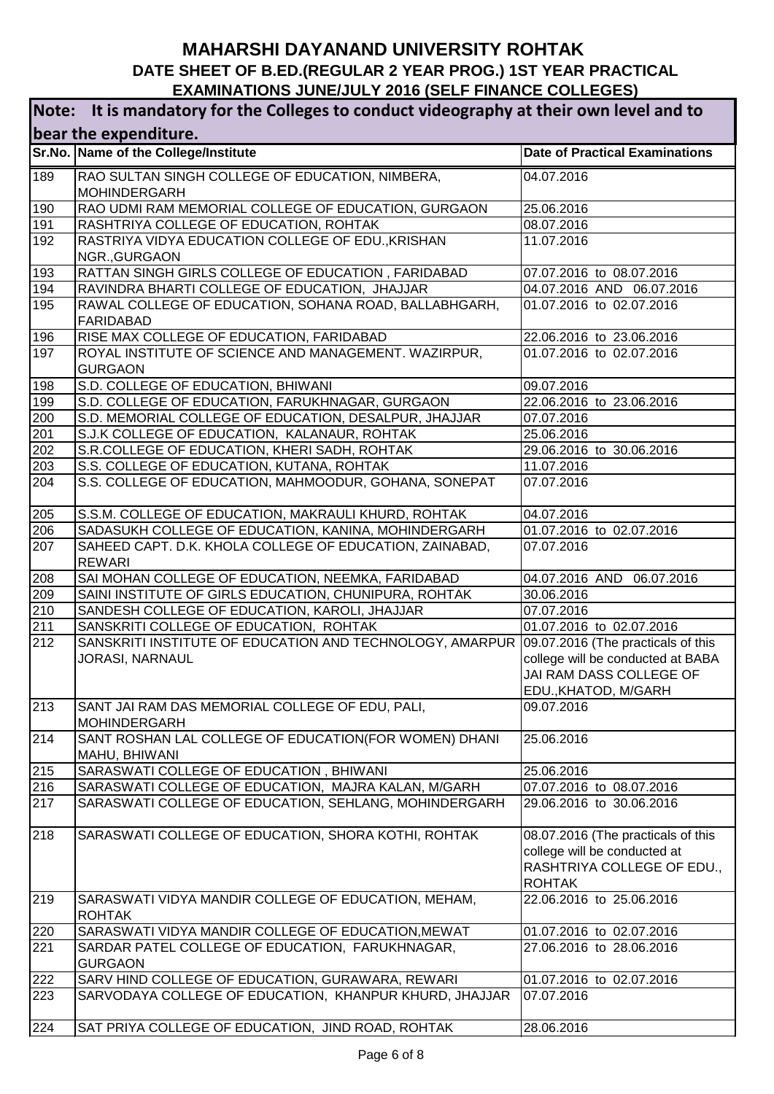| It is mandatory for the Colleges to conduct videography at their own level and to<br>Note: |                                                                                                  |                                       |
|--------------------------------------------------------------------------------------------|--------------------------------------------------------------------------------------------------|---------------------------------------|
|                                                                                            | bear the expenditure.                                                                            |                                       |
|                                                                                            | Sr.No. Name of the College/Institute                                                             | <b>Date of Practical Examinations</b> |
| 189                                                                                        | RAO SULTAN SINGH COLLEGE OF EDUCATION, NIMBERA,                                                  | 04.07.2016                            |
|                                                                                            | <b>MOHINDERGARH</b>                                                                              |                                       |
| 190                                                                                        | RAO UDMI RAM MEMORIAL COLLEGE OF EDUCATION, GURGAON                                              | 25.06.2016                            |
| 191                                                                                        | RASHTRIYA COLLEGE OF EDUCATION, ROHTAK                                                           | 08.07.2016                            |
| 192                                                                                        | RASTRIYA VIDYA EDUCATION COLLEGE OF EDU., KRISHAN                                                | 11.07.2016                            |
|                                                                                            | NGR., GURGAON                                                                                    |                                       |
| 193                                                                                        | RATTAN SINGH GIRLS COLLEGE OF EDUCATION, FARIDABAD                                               | 07.07.2016 to 08.07.2016              |
| 194                                                                                        | RAVINDRA BHARTI COLLEGE OF EDUCATION, JHAJJAR                                                    | 04.07.2016 AND 06.07.2016             |
| 195                                                                                        | RAWAL COLLEGE OF EDUCATION, SOHANA ROAD, BALLABHGARH,                                            | 01.07.2016 to 02.07.2016              |
|                                                                                            | <b>FARIDABAD</b>                                                                                 |                                       |
| 196<br>197                                                                                 | RISE MAX COLLEGE OF EDUCATION, FARIDABAD<br>ROYAL INSTITUTE OF SCIENCE AND MANAGEMENT. WAZIRPUR, | 22.06.2016 to 23.06.2016              |
|                                                                                            | <b>GURGAON</b>                                                                                   | 01.07.2016 to 02.07.2016              |
| 198                                                                                        | S.D. COLLEGE OF EDUCATION, BHIWANI                                                               | 09.07.2016                            |
| 199                                                                                        | S.D. COLLEGE OF EDUCATION, FARUKHNAGAR, GURGAON                                                  | 22.06.2016 to 23.06.2016              |
| 200                                                                                        | S.D. MEMORIAL COLLEGE OF EDUCATION, DESALPUR, JHAJJAR                                            | 07.07.2016                            |
| 201                                                                                        | S.J.K COLLEGE OF EDUCATION, KALANAUR, ROHTAK                                                     | 25.06.2016                            |
| 202                                                                                        | S.R.COLLEGE OF EDUCATION, KHERI SADH, ROHTAK                                                     | 29.06.2016 to 30.06.2016              |
| 203                                                                                        | S.S. COLLEGE OF EDUCATION, KUTANA, ROHTAK                                                        | 11.07.2016                            |
| 204                                                                                        | S.S. COLLEGE OF EDUCATION, MAHMOODUR, GOHANA, SONEPAT                                            | 07.07.2016                            |
| 205                                                                                        | S.S.M. COLLEGE OF EDUCATION, MAKRAULI KHURD, ROHTAK                                              | 04.07.2016                            |
| 206                                                                                        | SADASUKH COLLEGE OF EDUCATION, KANINA, MOHINDERGARH                                              | 01.07.2016 to 02.07.2016              |
| 207                                                                                        | SAHEED CAPT. D.K. KHOLA COLLEGE OF EDUCATION, ZAINABAD,<br><b>REWARI</b>                         | 07.07.2016                            |
| 208                                                                                        | SAI MOHAN COLLEGE OF EDUCATION, NEEMKA, FARIDABAD                                                | 04.07.2016 AND 06.07.2016             |
| 209                                                                                        | SAINI INSTITUTE OF GIRLS EDUCATION, CHUNIPURA, ROHTAK                                            | 30.06.2016                            |
| 210                                                                                        | SANDESH COLLEGE OF EDUCATION, KAROLI, JHAJJAR                                                    | 07.07.2016                            |
| 211                                                                                        | SANSKRITI COLLEGE OF EDUCATION, ROHTAK                                                           | 01.07.2016 to 02.07.2016              |
| 212                                                                                        | SANSKRITI INSTITUTE OF EDUCATION AND TECHNOLOGY, AMARPUR 09.07.2016 (The practicals of this      |                                       |
|                                                                                            | JORASI, NARNAUL                                                                                  | college will be conducted at BABA     |
|                                                                                            |                                                                                                  | JAI RAM DASS COLLEGE OF               |
|                                                                                            |                                                                                                  | EDU., KHATOD, M/GARH                  |
| 213                                                                                        | SANT JAI RAM DAS MEMORIAL COLLEGE OF EDU, PALI,<br><b>MOHINDERGARH</b>                           | 09.07.2016                            |
| 214                                                                                        | SANT ROSHAN LAL COLLEGE OF EDUCATION(FOR WOMEN) DHANI                                            | 25.06.2016                            |
|                                                                                            | MAHU, BHIWANI                                                                                    |                                       |
| 215                                                                                        | SARASWATI COLLEGE OF EDUCATION, BHIWANI                                                          | 25.06.2016                            |
| 216                                                                                        | SARASWATI COLLEGE OF EDUCATION, MAJRA KALAN, M/GARH                                              | 07.07.2016 to 08.07.2016              |
| 217                                                                                        | SARASWATI COLLEGE OF EDUCATION, SEHLANG, MOHINDERGARH                                            | 29.06.2016 to 30.06.2016              |
| 218                                                                                        | SARASWATI COLLEGE OF EDUCATION, SHORA KOTHI, ROHTAK                                              | 08.07.2016 (The practicals of this    |
|                                                                                            |                                                                                                  | college will be conducted at          |
|                                                                                            |                                                                                                  | RASHTRIYA COLLEGE OF EDU.,            |
|                                                                                            |                                                                                                  | <b>ROHTAK</b>                         |
| 219                                                                                        | SARASWATI VIDYA MANDIR COLLEGE OF EDUCATION, MEHAM,<br><b>ROHTAK</b>                             | 22.06.2016 to 25.06.2016              |
| 220                                                                                        | SARASWATI VIDYA MANDIR COLLEGE OF EDUCATION, MEWAT                                               | 01.07.2016 to 02.07.2016              |
| 221                                                                                        | SARDAR PATEL COLLEGE OF EDUCATION, FARUKHNAGAR,                                                  | 27.06.2016 to 28.06.2016              |
|                                                                                            | <b>GURGAON</b>                                                                                   |                                       |
| 222                                                                                        | SARV HIND COLLEGE OF EDUCATION, GURAWARA, REWARI                                                 | 01.07.2016 to 02.07.2016              |
| 223                                                                                        | SARVODAYA COLLEGE OF EDUCATION, KHANPUR KHURD, JHAJJAR                                           | 07.07.2016                            |
| 224                                                                                        | SAT PRIYA COLLEGE OF EDUCATION, JIND ROAD, ROHTAK                                                | 28.06.2016                            |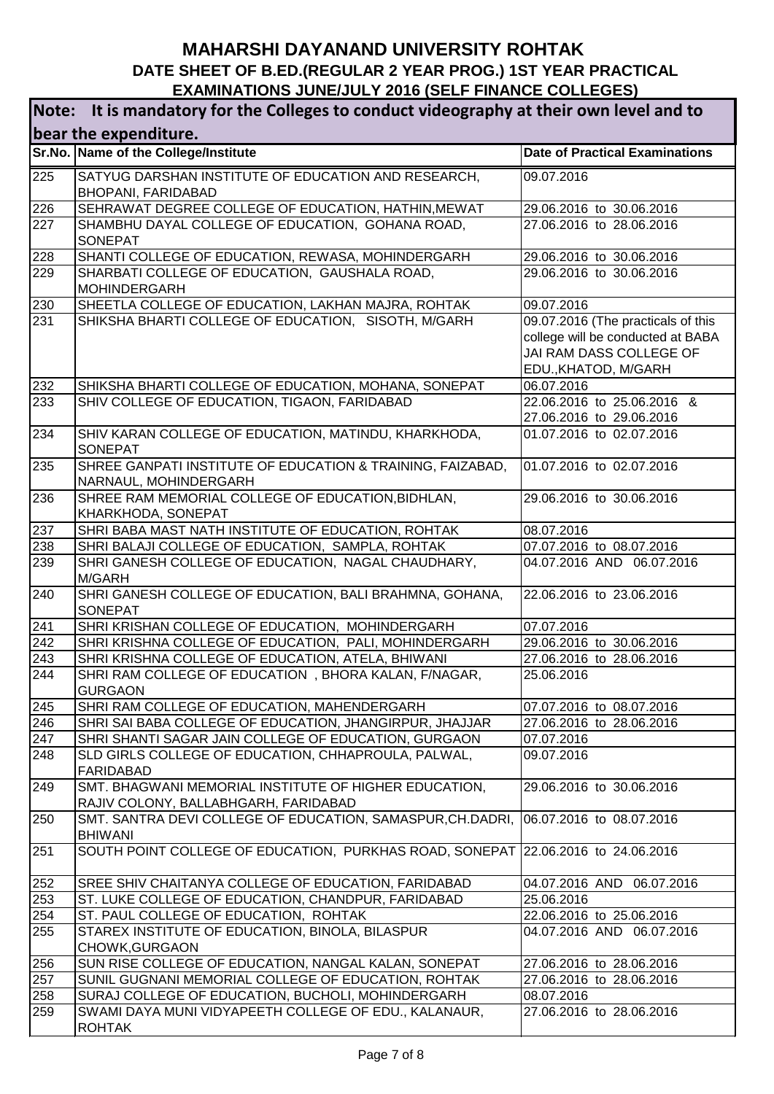| It is mandatory for the Colleges to conduct videography at their own level and to<br>Note: |                                                                                               |                                                                                                                            |  |
|--------------------------------------------------------------------------------------------|-----------------------------------------------------------------------------------------------|----------------------------------------------------------------------------------------------------------------------------|--|
| bear the expenditure.                                                                      |                                                                                               |                                                                                                                            |  |
|                                                                                            | Sr.No. Name of the College/Institute                                                          | <b>Date of Practical Examinations</b>                                                                                      |  |
| 225                                                                                        | SATYUG DARSHAN INSTITUTE OF EDUCATION AND RESEARCH,<br><b>BHOPANI, FARIDABAD</b>              | 09.07.2016                                                                                                                 |  |
| 226                                                                                        | SEHRAWAT DEGREE COLLEGE OF EDUCATION, HATHIN, MEWAT                                           | 29.06.2016 to 30.06.2016                                                                                                   |  |
| 227                                                                                        | SHAMBHU DAYAL COLLEGE OF EDUCATION, GOHANA ROAD,<br><b>SONEPAT</b>                            | 27.06.2016 to 28.06.2016                                                                                                   |  |
| 228                                                                                        | SHANTI COLLEGE OF EDUCATION, REWASA, MOHINDERGARH                                             | 29.06.2016 to 30.06.2016                                                                                                   |  |
| 229                                                                                        | SHARBATI COLLEGE OF EDUCATION, GAUSHALA ROAD,<br><b>MOHINDERGARH</b>                          | 29.06.2016 to 30.06.2016                                                                                                   |  |
| 230                                                                                        | SHEETLA COLLEGE OF EDUCATION, LAKHAN MAJRA, ROHTAK                                            | 09.07.2016                                                                                                                 |  |
| 231                                                                                        | SHIKSHA BHARTI COLLEGE OF EDUCATION, SISOTH, M/GARH                                           | 09.07.2016 (The practicals of this<br>college will be conducted at BABA<br>JAI RAM DASS COLLEGE OF<br>EDU., KHATOD, M/GARH |  |
| 232                                                                                        | SHIKSHA BHARTI COLLEGE OF EDUCATION, MOHANA, SONEPAT                                          | 06.07.2016                                                                                                                 |  |
| 233                                                                                        | SHIV COLLEGE OF EDUCATION, TIGAON, FARIDABAD                                                  | 22.06.2016 to 25.06.2016 &<br>27.06.2016 to 29.06.2016                                                                     |  |
| 234                                                                                        | SHIV KARAN COLLEGE OF EDUCATION, MATINDU, KHARKHODA,<br><b>SONEPAT</b>                        | 01.07.2016 to 02.07.2016                                                                                                   |  |
| 235                                                                                        | SHREE GANPATI INSTITUTE OF EDUCATION & TRAINING, FAIZABAD,<br>NARNAUL, MOHINDERGARH           | 01.07.2016 to 02.07.2016                                                                                                   |  |
| 236                                                                                        | SHREE RAM MEMORIAL COLLEGE OF EDUCATION, BIDHLAN,<br>KHARKHODA, SONEPAT                       | 29.06.2016 to 30.06.2016                                                                                                   |  |
| 237                                                                                        | SHRI BABA MAST NATH INSTITUTE OF EDUCATION, ROHTAK                                            | 08.07.2016                                                                                                                 |  |
| 238                                                                                        | SHRI BALAJI COLLEGE OF EDUCATION, SAMPLA, ROHTAK                                              | 07.07.2016 to 08.07.2016                                                                                                   |  |
| 239                                                                                        | SHRI GANESH COLLEGE OF EDUCATION, NAGAL CHAUDHARY,<br>M/GARH                                  | 04.07.2016 AND 06.07.2016                                                                                                  |  |
| 240                                                                                        | SHRI GANESH COLLEGE OF EDUCATION, BALI BRAHMNA, GOHANA,<br><b>SONEPAT</b>                     | 22.06.2016 to 23.06.2016                                                                                                   |  |
| 241                                                                                        | SHRI KRISHAN COLLEGE OF EDUCATION, MOHINDERGARH                                               | 07.07.2016                                                                                                                 |  |
| 242                                                                                        | SHRI KRISHNA COLLEGE OF EDUCATION, PALI, MOHINDERGARH                                         | 29.06.2016 to 30.06.2016                                                                                                   |  |
| 243                                                                                        | SHRI KRISHNA COLLEGE OF EDUCATION, ATELA, BHIWANI                                             | 27.06.2016 to 28.06.2016                                                                                                   |  |
| 244                                                                                        | SHRI RAM COLLEGE OF EDUCATION, BHORA KALAN, F/NAGAR,<br><b>GURGAON</b>                        | 25.06.2016                                                                                                                 |  |
| 245                                                                                        | SHRI RAM COLLEGE OF EDUCATION, MAHENDERGARH                                                   | 07.07.2016 to 08.07.2016                                                                                                   |  |
| 246                                                                                        | SHRI SAI BABA COLLEGE OF EDUCATION, JHANGIRPUR, JHAJJAR                                       | 27.06.2016 to 28.06.2016                                                                                                   |  |
| 247                                                                                        | SHRI SHANTI SAGAR JAIN COLLEGE OF EDUCATION, GURGAON                                          | 07.07.2016                                                                                                                 |  |
| 248                                                                                        | SLD GIRLS COLLEGE OF EDUCATION, CHHAPROULA, PALWAL,<br><b>FARIDABAD</b>                       | 09.07.2016                                                                                                                 |  |
| 249                                                                                        | SMT. BHAGWANI MEMORIAL INSTITUTE OF HIGHER EDUCATION,<br>RAJIV COLONY, BALLABHGARH, FARIDABAD | 29.06.2016 to 30.06.2016                                                                                                   |  |
| 250                                                                                        | SMT. SANTRA DEVI COLLEGE OF EDUCATION, SAMASPUR, CH.DADRI,<br><b>BHIWANI</b>                  | 06.07.2016 to 08.07.2016                                                                                                   |  |
| 251                                                                                        | SOUTH POINT COLLEGE OF EDUCATION, PURKHAS ROAD, SONEPAT 22.06.2016 to 24.06.2016              |                                                                                                                            |  |
| 252                                                                                        | SREE SHIV CHAITANYA COLLEGE OF EDUCATION, FARIDABAD                                           | 04.07.2016 AND<br>06.07.2016                                                                                               |  |
| 253                                                                                        | ST. LUKE COLLEGE OF EDUCATION, CHANDPUR, FARIDABAD                                            | 25.06.2016                                                                                                                 |  |
| 254                                                                                        | ST. PAUL COLLEGE OF EDUCATION, ROHTAK                                                         | 22.06.2016 to 25.06.2016                                                                                                   |  |
| 255                                                                                        | STAREX INSTITUTE OF EDUCATION, BINOLA, BILASPUR<br>CHOWK, GURGAON                             | 04.07.2016 AND 06.07.2016                                                                                                  |  |
| 256                                                                                        | SUN RISE COLLEGE OF EDUCATION, NANGAL KALAN, SONEPAT                                          | 27.06.2016 to 28.06.2016                                                                                                   |  |
| 257                                                                                        | SUNIL GUGNANI MEMORIAL COLLEGE OF EDUCATION, ROHTAK                                           | 27.06.2016 to 28.06.2016                                                                                                   |  |
| 258                                                                                        | SURAJ COLLEGE OF EDUCATION, BUCHOLI, MOHINDERGARH                                             | 08.07.2016                                                                                                                 |  |
| 259                                                                                        | SWAMI DAYA MUNI VIDYAPEETH COLLEGE OF EDU., KALANAUR,<br><b>ROHTAK</b>                        | 27.06.2016 to 28.06.2016                                                                                                   |  |